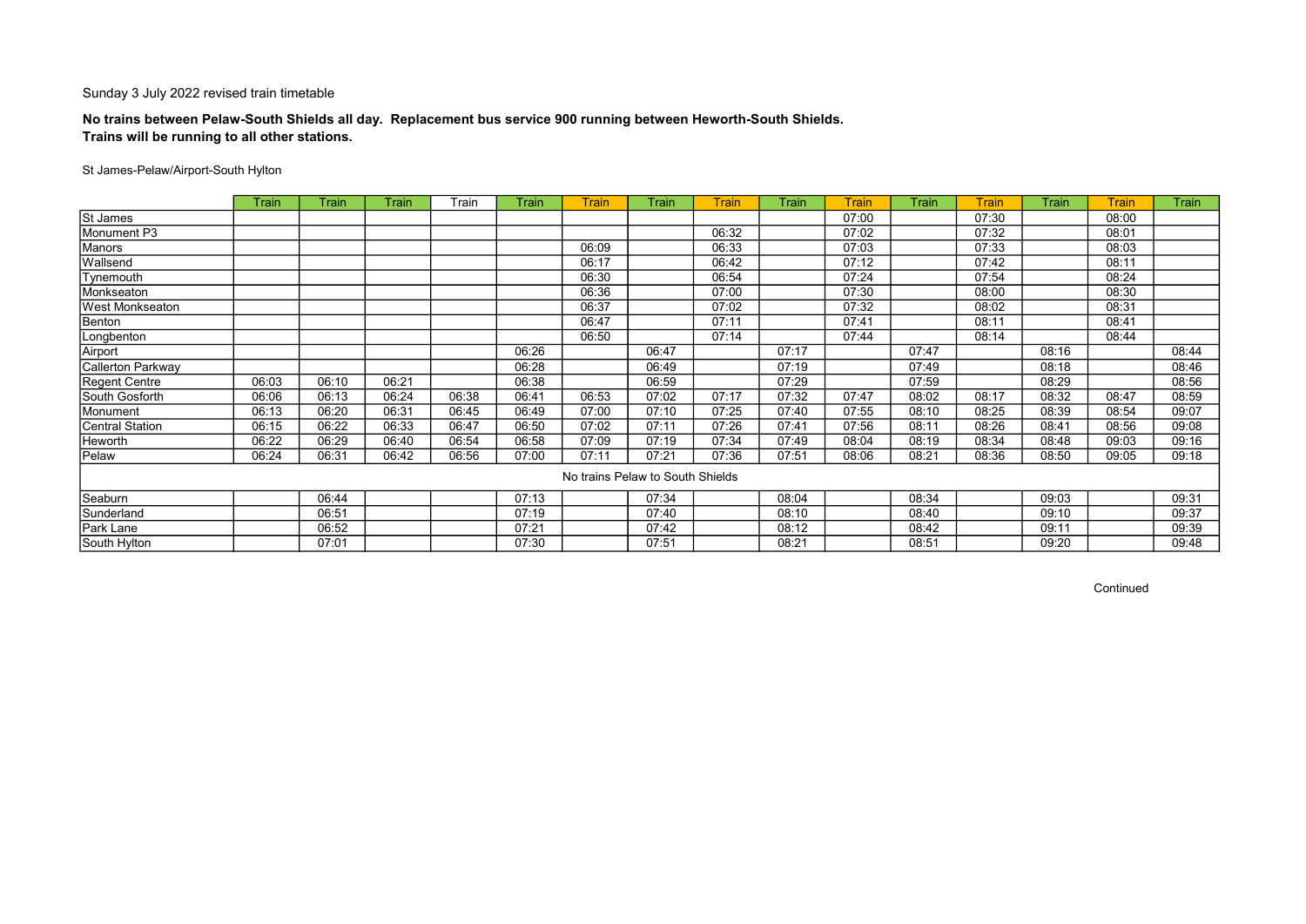## No trains between Pelaw-South Shields all day. Replacement bus service 900 running between Heworth-South Shields. Trains will be running to all other stations.

### St James-Pelaw/Airport-South Hylton

|                   | Train | Train | Train | Train | Train | <b>Train</b>                     | Train | Train | Train | <b>Train</b> | Train | <b>Train</b> | Train | <b>Train</b> | Train |
|-------------------|-------|-------|-------|-------|-------|----------------------------------|-------|-------|-------|--------------|-------|--------------|-------|--------------|-------|
| St James          |       |       |       |       |       |                                  |       |       |       | 07:00        |       | 07:30        |       | 08:00        |       |
| Monument P3       |       |       |       |       |       |                                  |       | 06:32 |       | 07:02        |       | 07:32        |       | 08:01        |       |
| Manors            |       |       |       |       |       | 06:09                            |       | 06:33 |       | 07:03        |       | 07:33        |       | 08:03        |       |
| Wallsend          |       |       |       |       |       | 06:17                            |       | 06:42 |       | 07:12        |       | 07:42        |       | 08:11        |       |
| Tynemouth         |       |       |       |       |       | 06:30                            |       | 06:54 |       | 07:24        |       | 07:54        |       | 08:24        |       |
| Monkseaton        |       |       |       |       |       | 06:36                            |       | 07:00 |       | 07:30        |       | 08:00        |       | 08:30        |       |
| West Monkseaton   |       |       |       |       |       | 06:37                            |       | 07:02 |       | 07:32        |       | 08:02        |       | 08:31        |       |
| Benton            |       |       |       |       |       | 06:47                            |       | 07:11 |       | 07:41        |       | 08:11        |       | 08:41        |       |
| Longbenton        |       |       |       |       |       | 06:50                            |       | 07:14 |       | 07:44        |       | 08:14        |       | 08:44        |       |
| Airport           |       |       |       |       | 06:26 |                                  | 06:47 |       | 07:17 |              | 07:47 |              | 08:16 |              | 08:44 |
| Callerton Parkway |       |       |       |       | 06:28 |                                  | 06:49 |       | 07:19 |              | 07:49 |              | 08:18 |              | 08:46 |
| Regent Centre     | 06:03 | 06:10 | 06:21 |       | 06:38 |                                  | 06:59 |       | 07:29 |              | 07:59 |              | 08:29 |              | 08:56 |
| South Gosforth    | 06:06 | 06:13 | 06:24 | 06:38 | 06:41 | 06:53                            | 07:02 | 07:17 | 07:32 | 07:47        | 08:02 | 08:17        | 08:32 | 08:47        | 08:59 |
| Monument          | 06:13 | 06:20 | 06:31 | 06:45 | 06:49 | 07:00                            | 07:10 | 07:25 | 07:40 | 07:55        | 08:10 | 08:25        | 08:39 | 08:54        | 09:07 |
| Central Station   | 06:15 | 06:22 | 06:33 | 06:47 | 06:50 | 07:02                            | 07:11 | 07:26 | 07:41 | 07:56        | 08:11 | 08:26        | 08:41 | 08:56        | 09:08 |
| Heworth           | 06:22 | 06:29 | 06:40 | 06:54 | 06:58 | 07:09                            | 07:19 | 07:34 | 07:49 | 08:04        | 08:19 | 08:34        | 08:48 | 09:03        | 09:16 |
| Pelaw             | 06:24 | 06:31 | 06:42 | 06:56 | 07:00 | 07:11                            | 07:21 | 07:36 | 07:51 | 08:06        | 08:21 | 08:36        | 08:50 | 09:05        | 09:18 |
|                   |       |       |       |       |       | No trains Pelaw to South Shields |       |       |       |              |       |              |       |              |       |
| Seaburn           |       | 06:44 |       |       | 07:13 |                                  | 07:34 |       | 08:04 |              | 08:34 |              | 09:03 |              | 09:31 |
| Sunderland        |       | 06:51 |       |       | 07:19 |                                  | 07:40 |       | 08:10 |              | 08:40 |              | 09:10 |              | 09:37 |
| Park Lane         |       | 06:52 |       |       | 07:21 |                                  | 07:42 |       | 08:12 |              | 08:42 |              | 09:11 |              | 09:39 |
| South Hylton      |       | 07:01 |       |       | 07:30 |                                  | 07:51 |       | 08:21 |              | 08:51 |              | 09:20 |              | 09:48 |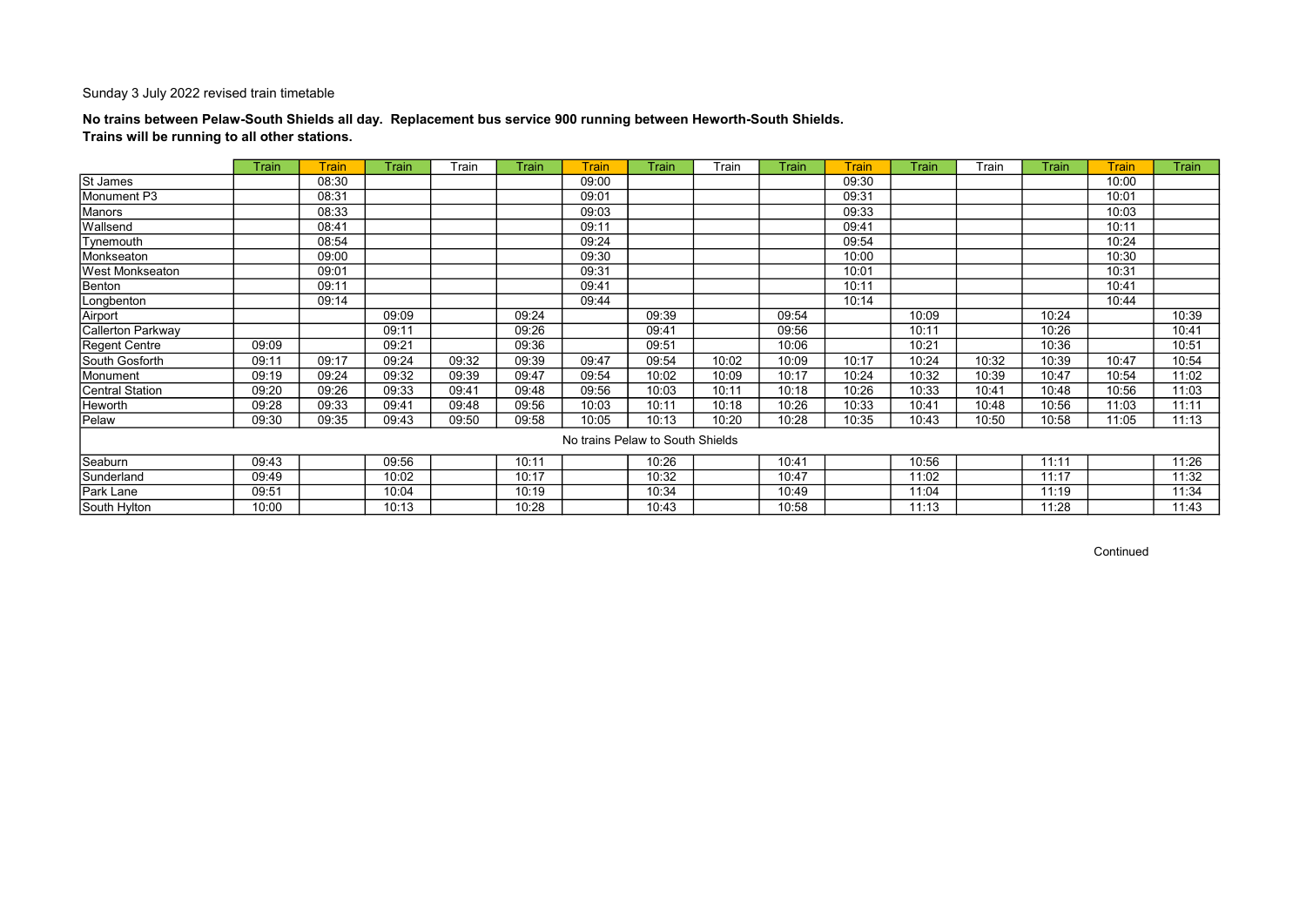## No trains between Pelaw-South Shields all day. Replacement bus service 900 running between Heworth-South Shields. Trains will be running to all other stations.

|                        | <b>Train</b> | <b>Train</b> | Train | Train | Train | <b>Train</b>                     | Train | Train | Train | Train | Train | Train | Train | Train | Train |
|------------------------|--------------|--------------|-------|-------|-------|----------------------------------|-------|-------|-------|-------|-------|-------|-------|-------|-------|
| St James               |              | 08:30        |       |       |       | 09:00                            |       |       |       | 09:30 |       |       |       | 10:00 |       |
| Monument P3            |              | 08:31        |       |       |       | 09:01                            |       |       |       | 09:31 |       |       |       | 10:01 |       |
| Manors                 |              | 08:33        |       |       |       | 09:03                            |       |       |       | 09:33 |       |       |       | 10:03 |       |
| Wallsend               |              | 08:41        |       |       |       | 09:11                            |       |       |       | 09:41 |       |       |       | 10:11 |       |
| Tynemouth              |              | 08:54        |       |       |       | 09:24                            |       |       |       | 09:54 |       |       |       | 10:24 |       |
| Monkseaton             |              | 09:00        |       |       |       | 09:30                            |       |       |       | 10:00 |       |       |       | 10:30 |       |
| <b>West Monkseaton</b> |              | 09:01        |       |       |       | 09:31                            |       |       |       | 10:01 |       |       |       | 10:31 |       |
| Benton                 |              | 09:11        |       |       |       | 09:41                            |       |       |       | 10:11 |       |       |       | 10:41 |       |
| Longbenton             |              | 09:14        |       |       |       | 09:44                            |       |       |       | 10:14 |       |       |       | 10:44 |       |
| Airport                |              |              | 09:09 |       | 09:24 |                                  | 09:39 |       | 09:54 |       | 10:09 |       | 10:24 |       | 10:39 |
| Callerton Parkway      |              |              | 09:11 |       | 09:26 |                                  | 09:41 |       | 09:56 |       | 10:11 |       | 10:26 |       | 10:41 |
| <b>Regent Centre</b>   | 09:09        |              | 09:21 |       | 09:36 |                                  | 09:51 |       | 10:06 |       | 10:21 |       | 10:36 |       | 10:51 |
| South Gosforth         | 09:11        | 09:17        | 09:24 | 09:32 | 09:39 | 09:47                            | 09:54 | 10:02 | 10:09 | 10:17 | 10:24 | 10:32 | 10:39 | 10:47 | 10:54 |
| Monument               | 09:19        | 09:24        | 09:32 | 09:39 | 09:47 | 09:54                            | 10:02 | 10:09 | 10:17 | 10:24 | 10:32 | 10:39 | 10:47 | 10:54 | 11:02 |
| <b>Central Station</b> | 09:20        | 09:26        | 09:33 | 09:41 | 09:48 | 09:56                            | 10:03 | 10:11 | 10:18 | 10:26 | 10:33 | 10:41 | 10:48 | 10:56 | 11:03 |
| Heworth                | 09:28        | 09:33        | 09:41 | 09:48 | 09:56 | 10:03                            | 10:11 | 10:18 | 10:26 | 10:33 | 10:41 | 10:48 | 10:56 | 11:03 | 11:11 |
| Pelaw                  | 09:30        | 09:35        | 09:43 | 09:50 | 09:58 | 10:05                            | 10:13 | 10:20 | 10:28 | 10:35 | 10:43 | 10:50 | 10:58 | 11:05 | 11:13 |
|                        |              |              |       |       |       | No trains Pelaw to South Shields |       |       |       |       |       |       |       |       |       |
| Seaburn                | 09:43        |              | 09:56 |       | 10:11 |                                  | 10:26 |       | 10:41 |       | 10:56 |       | 11:11 |       | 11:26 |
| Sunderland             | 09:49        |              | 10:02 |       | 10:17 |                                  | 10:32 |       | 10:47 |       | 11:02 |       | 11:17 |       | 11:32 |
| Park Lane              | 09:51        |              | 10:04 |       | 10:19 |                                  | 10:34 |       | 10:49 |       | 11:04 |       | 11:19 |       | 11:34 |
| South Hylton           | 10:00        |              | 10:13 |       | 10:28 |                                  | 10:43 |       | 10:58 |       | 11:13 |       | 11:28 |       | 11:43 |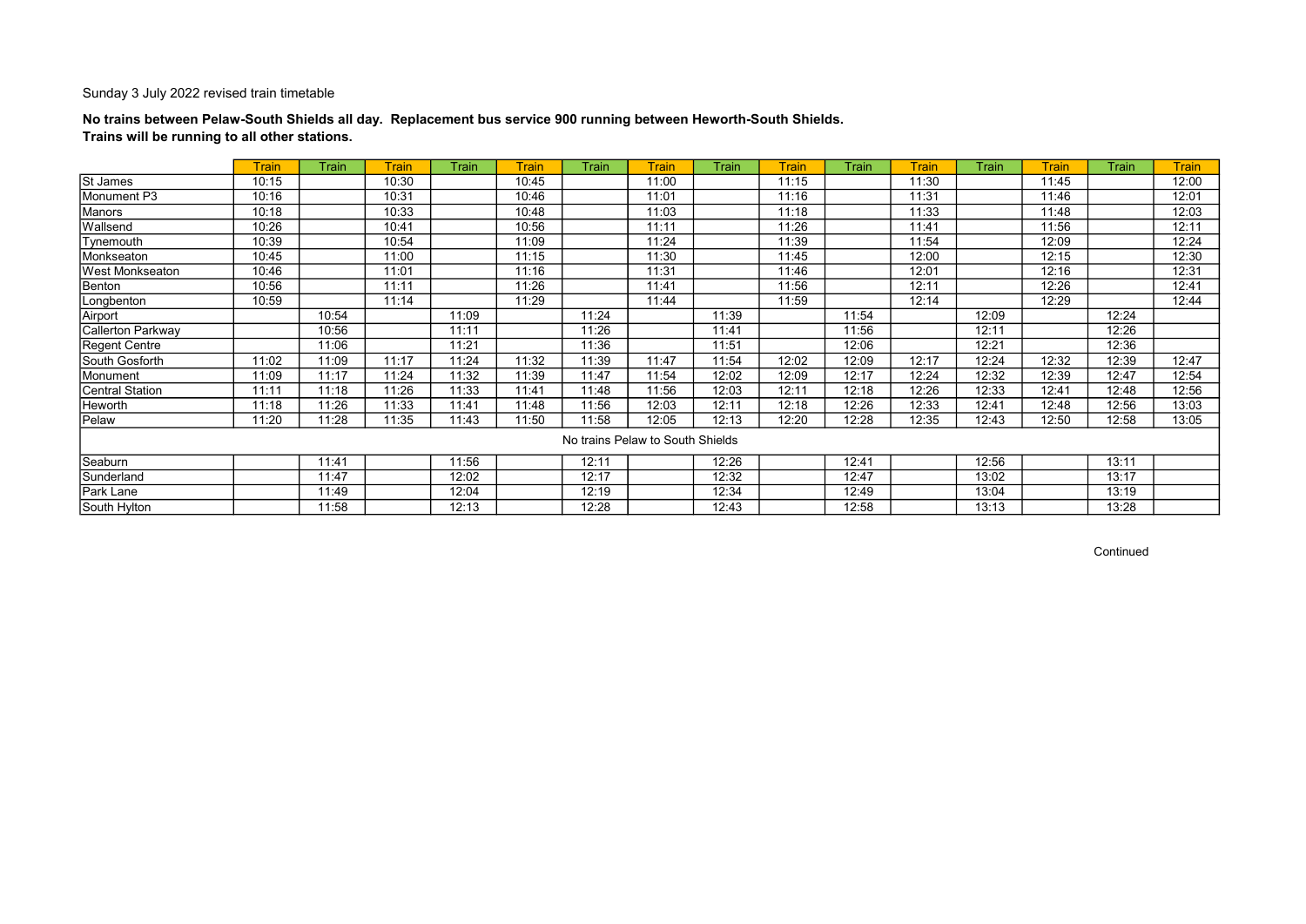## No trains between Pelaw-South Shields all day. Replacement bus service 900 running between Heworth-South Shields. Trains will be running to all other stations.

|                        | <b>Train</b> | Train | <b>Train</b> | Train | <b>Train</b> | Train                            | <b>Train</b> | Train | <b>Train</b> | Train | <b>Train</b> | Train | <b>Train</b> | <b>Train</b> | <b>Train</b> |
|------------------------|--------------|-------|--------------|-------|--------------|----------------------------------|--------------|-------|--------------|-------|--------------|-------|--------------|--------------|--------------|
| <b>St James</b>        | 10:15        |       | 10:30        |       | 10:45        |                                  | 11:00        |       | 11:15        |       | 11:30        |       | 11:45        |              | 12:00        |
| Monument P3            | 10:16        |       | 10:31        |       | 10:46        |                                  | 11:01        |       | 11:16        |       | 11:31        |       | 11:46        |              | 12:01        |
| Manors                 | 10:18        |       | 10:33        |       | 10:48        |                                  | 11:03        |       | 11:18        |       | 11:33        |       | 11:48        |              | 12:03        |
| Wallsend               | 10:26        |       | 10:41        |       | 10:56        |                                  | 11:11        |       | 11:26        |       | 11:41        |       | 11:56        |              | 12:11        |
| Tynemouth              | 10:39        |       | 10:54        |       | 11:09        |                                  | 11:24        |       | 11:39        |       | 11:54        |       | 12:09        |              | 12:24        |
| Monkseaton             | 10:45        |       | 11:00        |       | 11:15        |                                  | 11:30        |       | 11:45        |       | 12:00        |       | 12:15        |              | 12:30        |
| <b>West Monkseaton</b> | 10:46        |       | 11:01        |       | 11:16        |                                  | 11:31        |       | 11:46        |       | 12:01        |       | 12:16        |              | 12:31        |
| Benton                 | 10:56        |       | 11:11        |       | 11:26        |                                  | 11:41        |       | 11:56        |       | 12:11        |       | 12:26        |              | 12:41        |
| Longbenton             | 10:59        |       | 11:14        |       | 11:29        |                                  | 11:44        |       | 11:59        |       | 12:14        |       | 12:29        |              | 12:44        |
| Airport                |              | 10:54 |              | 11:09 |              | 11:24                            |              | 11:39 |              | 11:54 |              | 12:09 |              | 12:24        |              |
| Callerton Parkway      |              | 10:56 |              | 11:11 |              | 11:26                            |              | 11:41 |              | 11:56 |              | 12:11 |              | 12:26        |              |
| Regent Centre          |              | 11:06 |              | 11:21 |              | 11:36                            |              | 11:51 |              | 12:06 |              | 12:21 |              | 12:36        |              |
| South Gosforth         | 11:02        | 11:09 | 11:17        | 11:24 | 11:32        | 11:39                            | 11:47        | 11:54 | 12:02        | 12:09 | 12:17        | 12:24 | 12:32        | 12:39        | 12:47        |
| Monument               | 11:09        | 11:17 | 11:24        | 11:32 | 11:39        | 11:47                            | 11:54        | 12:02 | 12:09        | 12:17 | 12:24        | 12:32 | 12:39        | 12:47        | 12:54        |
| <b>Central Station</b> | 11:11        | 11:18 | 11:26        | 11:33 | 11:41        | 11:48                            | 11:56        | 12:03 | 12:11        | 12:18 | 12:26        | 12:33 | 12:41        | 12:48        | 12:56        |
| Heworth                | 11:18        | 11:26 | 11:33        | 11:41 | 11:48        | 11:56                            | 12:03        | 12:11 | 12:18        | 12:26 | 12:33        | 12:41 | 12:48        | 12:56        | 13:03        |
| Pelaw                  | 11:20        | 11:28 | 11:35        | 11:43 | 11:50        | 11:58                            | 12:05        | 12:13 | 12:20        | 12:28 | 12:35        | 12:43 | 12:50        | 12:58        | 13:05        |
|                        |              |       |              |       |              | No trains Pelaw to South Shields |              |       |              |       |              |       |              |              |              |
| Seaburn                |              | 11:41 |              | 11:56 |              | 12:11                            |              | 12:26 |              | 12:41 |              | 12:56 |              | 13:11        |              |
| Sunderland             |              | 11:47 |              | 12:02 |              | 12:17                            |              | 12:32 |              | 12:47 |              | 13:02 |              | 13:17        |              |
| Park Lane              |              | 11:49 |              | 12:04 |              | 12:19                            |              | 12:34 |              | 12:49 |              | 13:04 |              | 13:19        |              |
| South Hylton           |              | 11:58 |              | 12:13 |              | 12:28                            |              | 12:43 |              | 12:58 |              | 13:13 |              | 13:28        |              |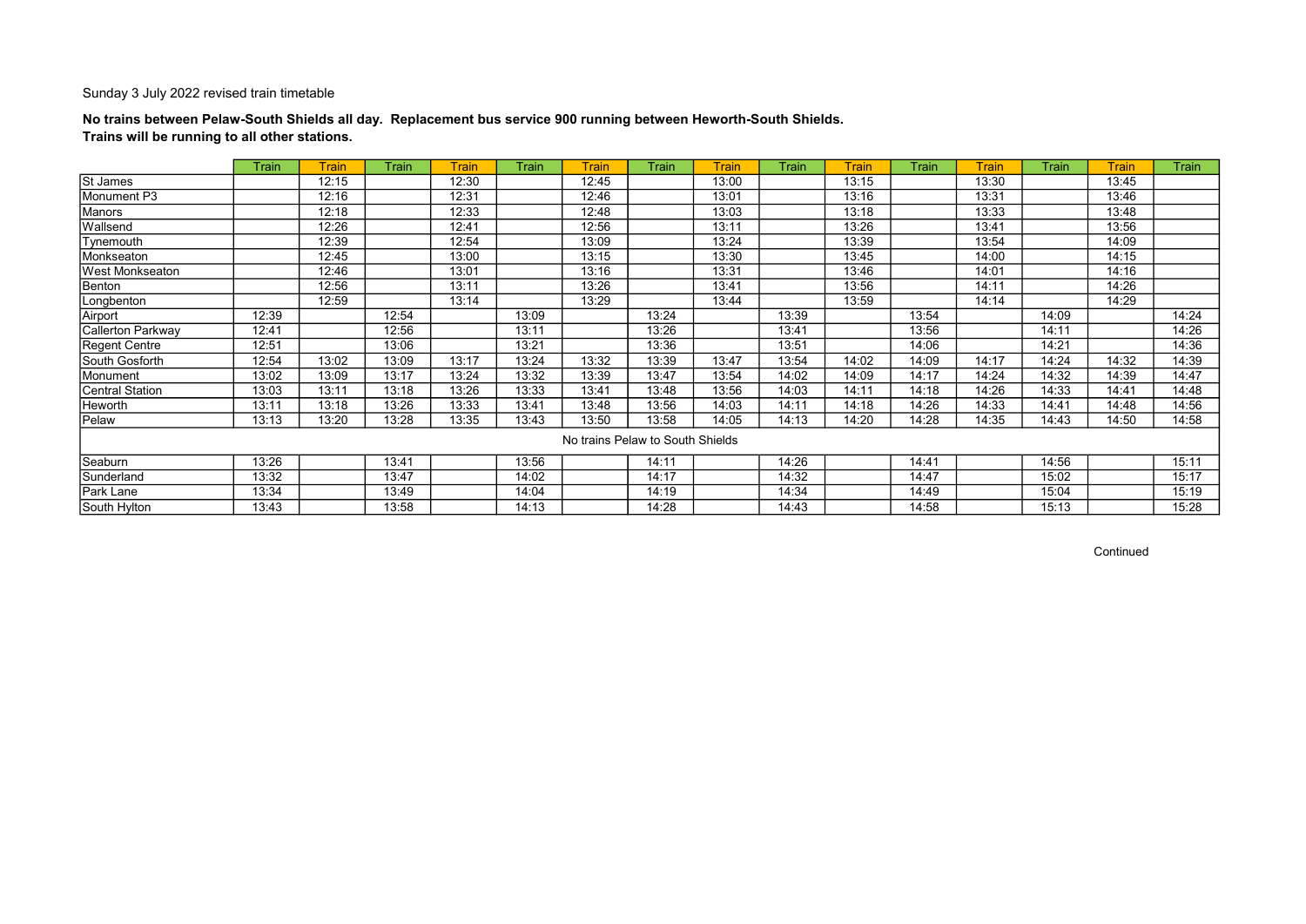## No trains between Pelaw-South Shields all day. Replacement bus service 900 running between Heworth-South Shields. Trains will be running to all other stations.

|                        | Train | Train | <b>Train</b> | <b>Train</b> | <b>Train</b> | <b>Train</b>                     | <b>Train</b> | Train | Train | <b>Train</b> | Train | <b>Train</b> | <b>Train</b> | <b>Train</b> | <b>Train</b> |
|------------------------|-------|-------|--------------|--------------|--------------|----------------------------------|--------------|-------|-------|--------------|-------|--------------|--------------|--------------|--------------|
| St James               |       | 12:15 |              | 12:30        |              | 12:45                            |              | 13:00 |       | 13:15        |       | 13:30        |              | 13:45        |              |
| Monument P3            |       | 12:16 |              | 12:31        |              | 12:46                            |              | 13:01 |       | 13:16        |       | 13:31        |              | 13:46        |              |
| Manors                 |       | 12:18 |              | 12:33        |              | 12:48                            |              | 13:03 |       | 13:18        |       | 13:33        |              | 13:48        |              |
| Wallsend               |       | 12:26 |              | 12:41        |              | 12:56                            |              | 13:11 |       | 13:26        |       | 13:41        |              | 13:56        |              |
| Tynemouth              |       | 12:39 |              | 12:54        |              | 13:09                            |              | 13:24 |       | 13:39        |       | 13:54        |              | 14:09        |              |
| Monkseaton             |       | 12:45 |              | 13:00        |              | 13:15                            |              | 13:30 |       | 13:45        |       | 14:00        |              | 14:15        |              |
| West Monkseaton        |       | 12:46 |              | 13:01        |              | 13:16                            |              | 13:31 |       | 13:46        |       | 14:01        |              | 14:16        |              |
| Benton                 |       | 12:56 |              | 13:11        |              | 13:26                            |              | 13:41 |       | 13:56        |       | 14:11        |              | 14:26        |              |
| Longbenton             |       | 12:59 |              | 13:14        |              | 13:29                            |              | 13:44 |       | 13:59        |       | 14:14        |              | 14:29        |              |
| Airport                | 12:39 |       | 12:54        |              | 13:09        |                                  | 13:24        |       | 13:39 |              | 13:54 |              | 14:09        |              | 14:24        |
| Callerton Parkway      | 12:41 |       | 12:56        |              | 13:11        |                                  | 13:26        |       | 13:41 |              | 13:56 |              | 14:11        |              | 14:26        |
| Regent Centre          | 12:51 |       | 13:06        |              | 13:21        |                                  | 13:36        |       | 13:51 |              | 14:06 |              | 14:21        |              | 14:36        |
| South Gosforth         | 12:54 | 13:02 | 13:09        | 13:17        | 13:24        | 13:32                            | 13:39        | 13:47 | 13:54 | 14:02        | 14:09 | 14:17        | 14:24        | 14:32        | 14:39        |
| Monument               | 13:02 | 13:09 | 13:17        | 13:24        | 13:32        | 13:39                            | 13:47        | 13:54 | 14:02 | 14:09        | 14:17 | 14:24        | 14:32        | 14:39        | 14:47        |
| <b>Central Station</b> | 13:03 | 13:11 | 13:18        | 13:26        | 13:33        | 13:41                            | 13:48        | 13:56 | 14:03 | 14:11        | 14:18 | 14:26        | 14:33        | 14:41        | 14:48        |
| Heworth                | 13:11 | 13:18 | 13:26        | 13:33        | 13:41        | 13:48                            | 13:56        | 14:03 | 14:11 | 14:18        | 14:26 | 14:33        | 14:41        | 14:48        | 14:56        |
| Pelaw                  | 13:13 | 13:20 | 13:28        | 13:35        | 13:43        | 13:50                            | 13:58        | 14:05 | 14:13 | 14:20        | 14:28 | 14:35        | 14:43        | 14:50        | 14:58        |
|                        |       |       |              |              |              | No trains Pelaw to South Shields |              |       |       |              |       |              |              |              |              |
| Seaburn                | 13:26 |       | 13:41        |              | 13:56        |                                  | 14:11        |       | 14:26 |              | 14:41 |              | 14:56        |              | 15:11        |
| Sunderland             | 13:32 |       | 13:47        |              | 14:02        |                                  | 14:17        |       | 14:32 |              | 14:47 |              | 15:02        |              | 15:17        |
| Park Lane              | 13:34 |       | 13:49        |              | 14:04        |                                  | 14:19        |       | 14:34 |              | 14:49 |              | 15:04        |              | 15:19        |
| South Hylton           | 13:43 |       | 13:58        |              | 14:13        |                                  | 14:28        |       | 14:43 |              | 14:58 |              | 15:13        |              | 15:28        |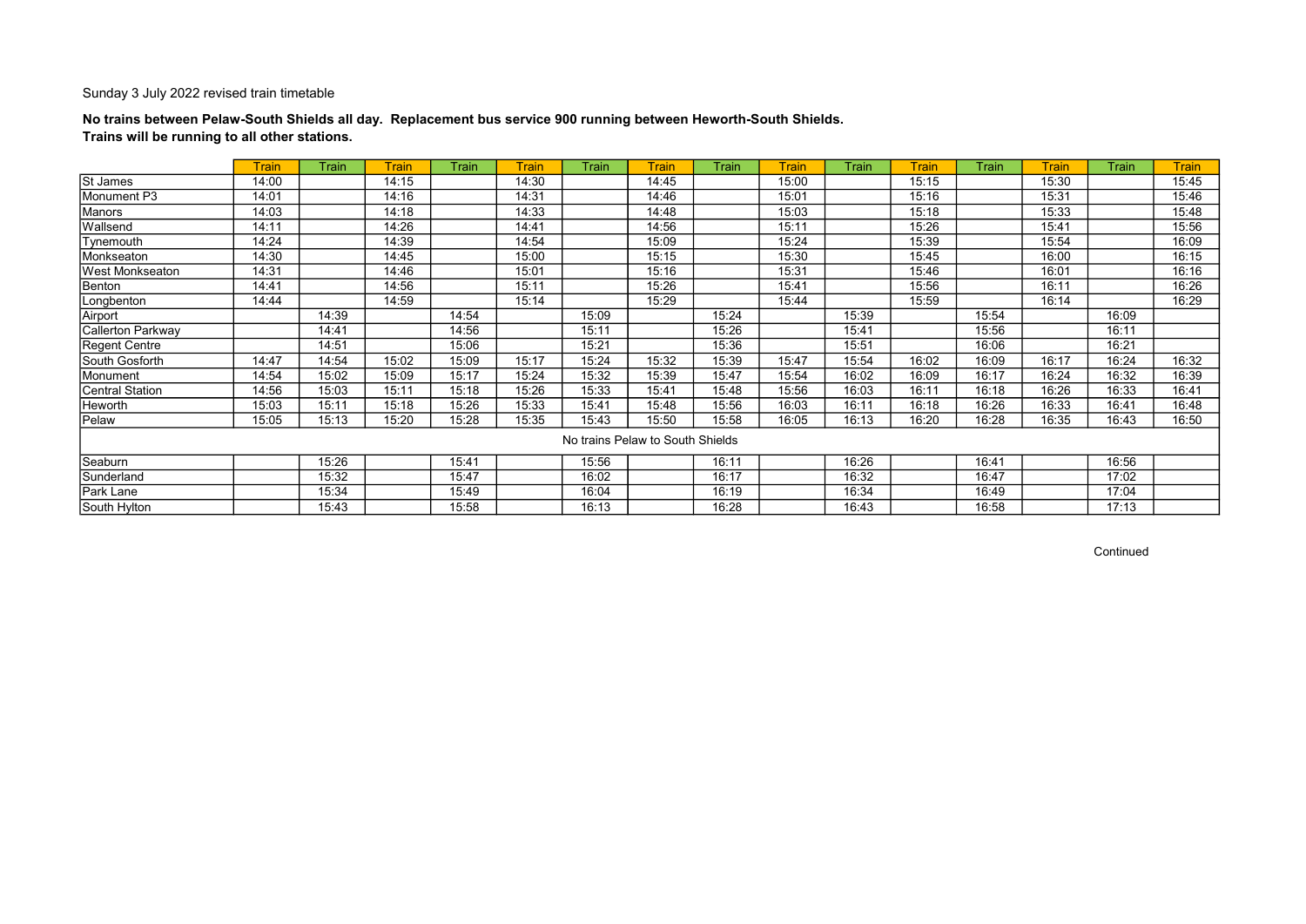## No trains between Pelaw-South Shields all day. Replacement bus service 900 running between Heworth-South Shields. Trains will be running to all other stations.

|                        | <b>Train</b> | Train | <b>Train</b> | Train | <b>Train</b> | Train | <b>Train</b>                     | Train | <b>Train</b> | Train | <b>Train</b> | <b>Train</b> | <b>Train</b> | Train | <b>Train</b> |
|------------------------|--------------|-------|--------------|-------|--------------|-------|----------------------------------|-------|--------------|-------|--------------|--------------|--------------|-------|--------------|
| <b>St James</b>        | 14:00        |       | 14:15        |       | 14:30        |       | 14:45                            |       | 15:00        |       | 15:15        |              | 15:30        |       | 15:45        |
| Monument P3            | 14:01        |       | 14:16        |       | 14:31        |       | 14:46                            |       | 15:01        |       | 15:16        |              | 15:31        |       | 15:46        |
| Manors                 | 14:03        |       | 14:18        |       | 14:33        |       | 14:48                            |       | 15:03        |       | 15:18        |              | 15:33        |       | 15:48        |
| Wallsend               | 14:11        |       | 14:26        |       | 14:41        |       | 14:56                            |       | 15:11        |       | 15:26        |              | 15:41        |       | 15:56        |
| Tynemouth              | 14:24        |       | 14:39        |       | 14:54        |       | 15:09                            |       | 15:24        |       | 15:39        |              | 15:54        |       | 16:09        |
| Monkseaton             | 14:30        |       | 14:45        |       | 15:00        |       | 15:15                            |       | 15:30        |       | 15:45        |              | 16:00        |       | 16:15        |
| West Monkseaton        | 14:31        |       | 14:46        |       | 15:01        |       | 15:16                            |       | 15:31        |       | 15:46        |              | 16:01        |       | 16:16        |
| Benton                 | 14:41        |       | 14:56        |       | 15:11        |       | 15:26                            |       | 15:41        |       | 15:56        |              | 16:11        |       | 16:26        |
| Longbenton             | 14:44        |       | 14:59        |       | 15:14        |       | 15:29                            |       | 15:44        |       | 15:59        |              | 16:14        |       | 16:29        |
| Airport                |              | 14:39 |              | 14:54 |              | 15:09 |                                  | 15:24 |              | 15:39 |              | 15:54        |              | 16:09 |              |
| Callerton Parkway      |              | 14:41 |              | 14:56 |              | 15:11 |                                  | 15:26 |              | 15:41 |              | 15:56        |              | 16:11 |              |
| Regent Centre          |              | 14:51 |              | 15:06 |              | 15:21 |                                  | 15:36 |              | 15:51 |              | 16:06        |              | 16:21 |              |
| South Gosforth         | 14:47        | 14:54 | 15:02        | 15:09 | 15:17        | 15:24 | 15:32                            | 15:39 | 15:47        | 15:54 | 16:02        | 16:09        | 16:17        | 16:24 | 16:32        |
| Monument               | 14:54        | 15:02 | 15:09        | 15:17 | 15:24        | 15:32 | 15:39                            | 15:47 | 15:54        | 16:02 | 16:09        | 16:17        | 16:24        | 16:32 | 16:39        |
| <b>Central Station</b> | 14:56        | 15:03 | 15:11        | 15:18 | 15:26        | 15:33 | 15:41                            | 15:48 | 15:56        | 16:03 | 16:11        | 16:18        | 16:26        | 16:33 | 16:41        |
| Heworth                | 15:03        | 15:11 | 15:18        | 15:26 | 15:33        | 15:41 | 15:48                            | 15:56 | 16:03        | 16:11 | 16:18        | 16:26        | 16:33        | 16:41 | 16:48        |
| Pelaw                  | 15:05        | 15:13 | 15:20        | 15:28 | 15:35        | 15:43 | 15:50                            | 15:58 | 16:05        | 16:13 | 16:20        | 16:28        | 16:35        | 16:43 | 16:50        |
|                        |              |       |              |       |              |       | No trains Pelaw to South Shields |       |              |       |              |              |              |       |              |
| Seaburn                |              | 15:26 |              | 15:41 |              | 15:56 |                                  | 16:11 |              | 16:26 |              | 16:41        |              | 16:56 |              |
| Sunderland             |              | 15:32 |              | 15:47 |              | 16:02 |                                  | 16:17 |              | 16:32 |              | 16:47        |              | 17:02 |              |
| Park Lane              |              | 15:34 |              | 15:49 |              | 16:04 |                                  | 16:19 |              | 16:34 |              | 16:49        |              | 17:04 |              |
| South Hylton           |              | 15:43 |              | 15:58 |              | 16:13 |                                  | 16:28 |              | 16:43 |              | 16:58        |              | 17:13 |              |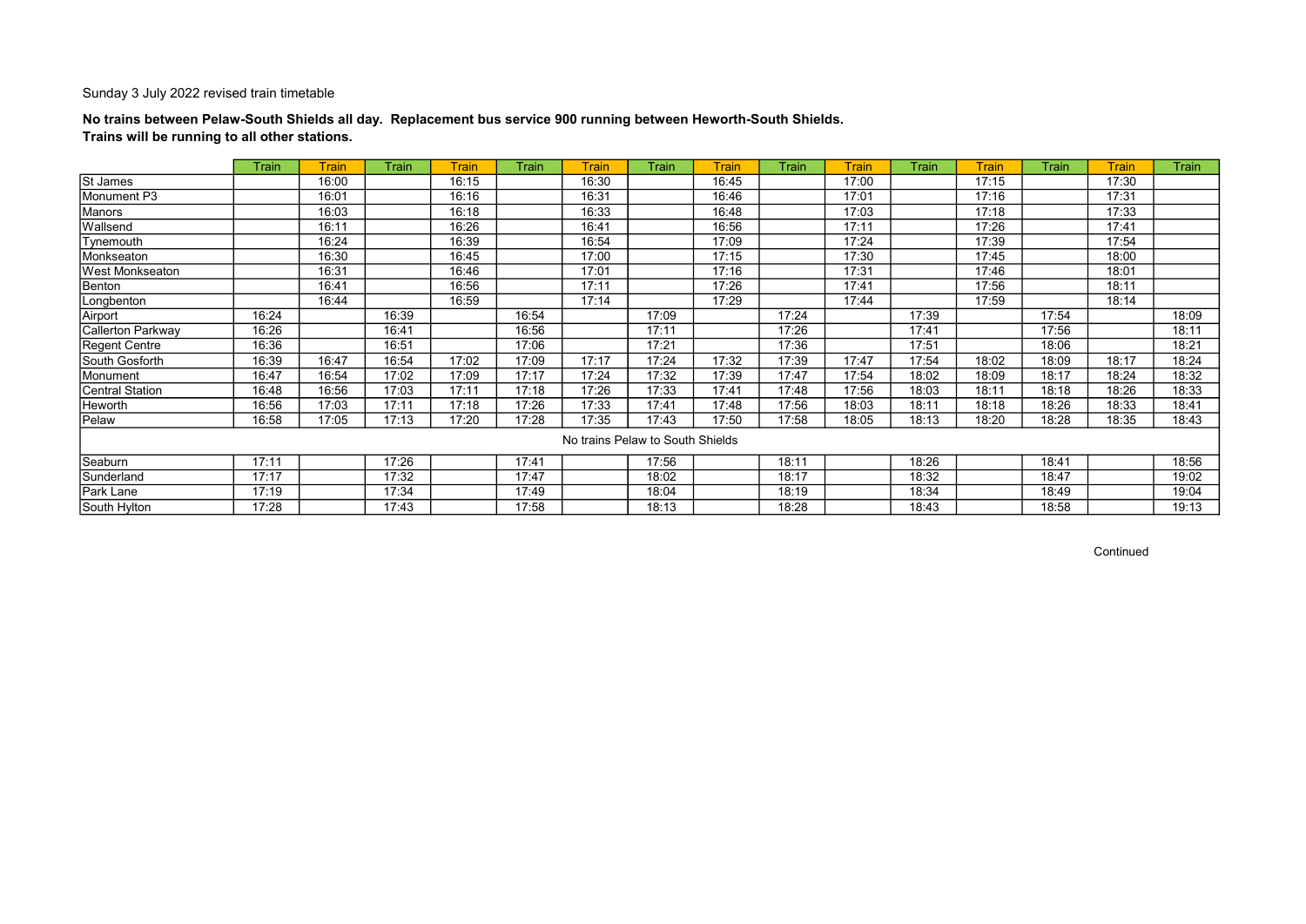## No trains between Pelaw-South Shields all day. Replacement bus service 900 running between Heworth-South Shields. Trains will be running to all other stations.

|                        | Train | Train | <b>Train</b> | <b>Train</b> | Train | <b>Train</b>                     | <b>Train</b> | Train | Train | <b>Train</b> | Train | <b>Train</b> | Train | <b>Train</b> | <b>Train</b> |
|------------------------|-------|-------|--------------|--------------|-------|----------------------------------|--------------|-------|-------|--------------|-------|--------------|-------|--------------|--------------|
| St James               |       | 16:00 |              | 16:15        |       | 16:30                            |              | 16:45 |       | 17:00        |       | 17:15        |       | 17:30        |              |
| Monument P3            |       | 16:01 |              | 16:16        |       | 16:31                            |              | 16:46 |       | 17:01        |       | 17:16        |       | 17:31        |              |
| Manors                 |       | 16:03 |              | 16:18        |       | 16:33                            |              | 16:48 |       | 17:03        |       | 17:18        |       | 17:33        |              |
| Wallsend               |       | 16:11 |              | 16:26        |       | 16:41                            |              | 16:56 |       | 17:11        |       | 17:26        |       | 17:41        |              |
| Tynemouth              |       | 16:24 |              | 16:39        |       | 16:54                            |              | 17:09 |       | 17:24        |       | 17:39        |       | 17:54        |              |
| Monkseaton             |       | 16:30 |              | 16:45        |       | 17:00                            |              | 17:15 |       | 17:30        |       | 17:45        |       | 18:00        |              |
| West Monkseaton        |       | 16:31 |              | 16:46        |       | 17:01                            |              | 17:16 |       | 17:31        |       | 17:46        |       | 18:01        |              |
| Benton                 |       | 16:41 |              | 16:56        |       | 17:11                            |              | 17:26 |       | 17:41        |       | 17:56        |       | 18:11        |              |
| Longbenton             |       | 16:44 |              | 16:59        |       | 17:14                            |              | 17:29 |       | 17:44        |       | 17:59        |       | 18:14        |              |
| Airport                | 16:24 |       | 16:39        |              | 16:54 |                                  | 17:09        |       | 17:24 |              | 17:39 |              | 17:54 |              | 18:09        |
| Callerton Parkway      | 16:26 |       | 16:41        |              | 16:56 |                                  | 17:11        |       | 17:26 |              | 17:41 |              | 17:56 |              | 18:11        |
| Regent Centre          | 16:36 |       | 16:51        |              | 17:06 |                                  | 17:21        |       | 17:36 |              | 17:51 |              | 18:06 |              | 18:21        |
| South Gosforth         | 16:39 | 16:47 | 16:54        | 17:02        | 17:09 | 17:17                            | 17:24        | 17:32 | 17:39 | 17:47        | 17:54 | 18:02        | 18:09 | 18:17        | 18:24        |
| Monument               | 16:47 | 16:54 | 17:02        | 17:09        | 17:17 | 17:24                            | 17:32        | 17:39 | 17:47 | 17:54        | 18:02 | 18:09        | 18:17 | 18:24        | 18:32        |
| <b>Central Station</b> | 16:48 | 16:56 | 17:03        | 17:11        | 17:18 | 17:26                            | 17:33        | 17:41 | 17:48 | 17:56        | 18:03 | 18:11        | 18:18 | 18:26        | 18:33        |
| Heworth                | 16:56 | 17:03 | 17:11        | 17:18        | 17:26 | 17:33                            | 17:41        | 17:48 | 17:56 | 18:03        | 18:11 | 18:18        | 18:26 | 18:33        | 18:41        |
| Pelaw                  | 16:58 | 17:05 | 17:13        | 17:20        | 17:28 | 17:35                            | 17:43        | 17:50 | 17:58 | 18:05        | 18:13 | 18:20        | 18:28 | 18:35        | 18:43        |
|                        |       |       |              |              |       | No trains Pelaw to South Shields |              |       |       |              |       |              |       |              |              |
| Seaburn                | 17:11 |       | 17:26        |              | 17:41 |                                  | 17:56        |       | 18:11 |              | 18:26 |              | 18:41 |              | 18:56        |
| Sunderland             | 17:17 |       | 17:32        |              | 17:47 |                                  | 18:02        |       | 18:17 |              | 18:32 |              | 18:47 |              | 19:02        |
| Park Lane              | 17:19 |       | 17:34        |              | 17:49 |                                  | 18:04        |       | 18:19 |              | 18:34 |              | 18:49 |              | 19:04        |
| South Hylton           | 17:28 |       | 17:43        |              | 17:58 |                                  | 18:13        |       | 18:28 |              | 18:43 |              | 18:58 |              | 19:13        |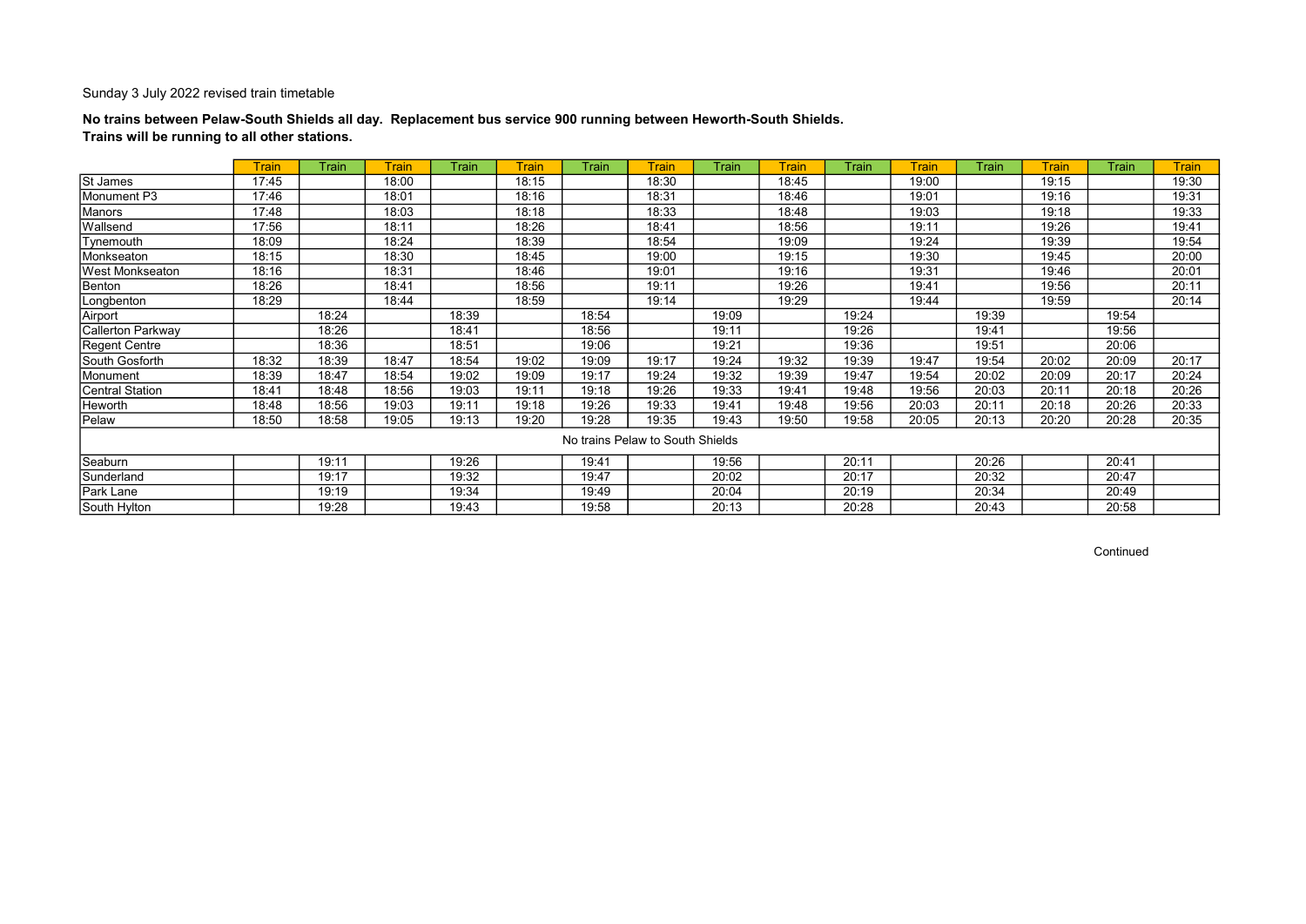## No trains between Pelaw-South Shields all day. Replacement bus service 900 running between Heworth-South Shields. Trains will be running to all other stations.

|                          | <b>Train</b> | Train | <b>Train</b> | <b>Train</b> | <b>Train</b> | Train                            | <b>Train</b> | Train | <b>Train</b> | <b>Train</b> | <b>Train</b> | Train | <b>Train</b> | Train | <b>Train</b> |
|--------------------------|--------------|-------|--------------|--------------|--------------|----------------------------------|--------------|-------|--------------|--------------|--------------|-------|--------------|-------|--------------|
| <b>St James</b>          | 17:45        |       | 18:00        |              | 18:15        |                                  | 18:30        |       | 18:45        |              | 19:00        |       | 19:15        |       | 19:30        |
| Monument P3              | 17:46        |       | 18:01        |              | 18:16        |                                  | 18:31        |       | 18:46        |              | 19:01        |       | 19:16        |       | 19:31        |
| Manors                   | 17:48        |       | 18:03        |              | 18:18        |                                  | 18:33        |       | 18:48        |              | 19:03        |       | 19:18        |       | 19:33        |
| Wallsend                 | 17:56        |       | 18:11        |              | 18:26        |                                  | 18:41        |       | 18:56        |              | 19:11        |       | 19:26        |       | 19:41        |
| Tynemouth                | 18:09        |       | 18:24        |              | 18:39        |                                  | 18:54        |       | 19:09        |              | 19:24        |       | 19:39        |       | 19:54        |
| Monkseaton               | 18:15        |       | 18:30        |              | 18:45        |                                  | 19:00        |       | 19:15        |              | 19:30        |       | 19:45        |       | 20:00        |
| West Monkseaton          | 18:16        |       | 18:31        |              | 18:46        |                                  | 19:01        |       | 19:16        |              | 19:31        |       | 19:46        |       | 20:01        |
| Benton                   | 18:26        |       | 18:41        |              | 18:56        |                                  | 19:11        |       | 19:26        |              | 19:41        |       | 19:56        |       | 20:11        |
| Longbenton               | 18:29        |       | 18:44        |              | 18:59        |                                  | 19:14        |       | 19:29        |              | 19:44        |       | 19:59        |       | 20:14        |
| Airport                  |              | 18:24 |              | 18:39        |              | 18:54                            |              | 19:09 |              | 19:24        |              | 19:39 |              | 19:54 |              |
| <b>Callerton Parkway</b> |              | 18:26 |              | 18:41        |              | 18:56                            |              | 19:11 |              | 19:26        |              | 19:41 |              | 19:56 |              |
| Regent Centre            |              | 18:36 |              | 18:51        |              | 19:06                            |              | 19:21 |              | 19:36        |              | 19:51 |              | 20:06 |              |
| South Gosforth           | 18:32        | 18:39 | 18:47        | 18:54        | 19:02        | 19:09                            | 19:17        | 19:24 | 19:32        | 19:39        | 19:47        | 19:54 | 20:02        | 20:09 | 20:17        |
| Monument                 | 18:39        | 18:47 | 18:54        | 19:02        | 19:09        | 19:17                            | 19:24        | 19:32 | 19:39        | 19:47        | 19:54        | 20:02 | 20:09        | 20:17 | 20:24        |
| <b>Central Station</b>   | 18:41        | 18:48 | 18:56        | 19:03        | 19:11        | 19:18                            | 19:26        | 19:33 | 19:41        | 19:48        | 19:56        | 20:03 | 20:11        | 20:18 | 20:26        |
| Heworth                  | 18:48        | 18:56 | 19:03        | 19:11        | 19:18        | 19:26                            | 19:33        | 19:41 | 19:48        | 19:56        | 20:03        | 20:11 | 20:18        | 20:26 | 20:33        |
| Pelaw                    | 18:50        | 18:58 | 19:05        | 19:13        | 19:20        | 19:28                            | 19:35        | 19:43 | 19:50        | 19:58        | 20:05        | 20:13 | 20:20        | 20:28 | 20:35        |
|                          |              |       |              |              |              | No trains Pelaw to South Shields |              |       |              |              |              |       |              |       |              |
| Seaburn                  |              | 19:11 |              | 19:26        |              | 19:41                            |              | 19:56 |              | 20:11        |              | 20:26 |              | 20:41 |              |
| Sunderland               |              | 19:17 |              | 19:32        |              | 19:47                            |              | 20:02 |              | 20:17        |              | 20:32 |              | 20:47 |              |
| Park Lane                |              | 19:19 |              | 19:34        |              | 19:49                            |              | 20:04 |              | 20:19        |              | 20:34 |              | 20:49 |              |
| South Hylton             |              | 19:28 |              | 19:43        |              | 19:58                            |              | 20:13 |              | 20:28        |              | 20:43 |              | 20:58 |              |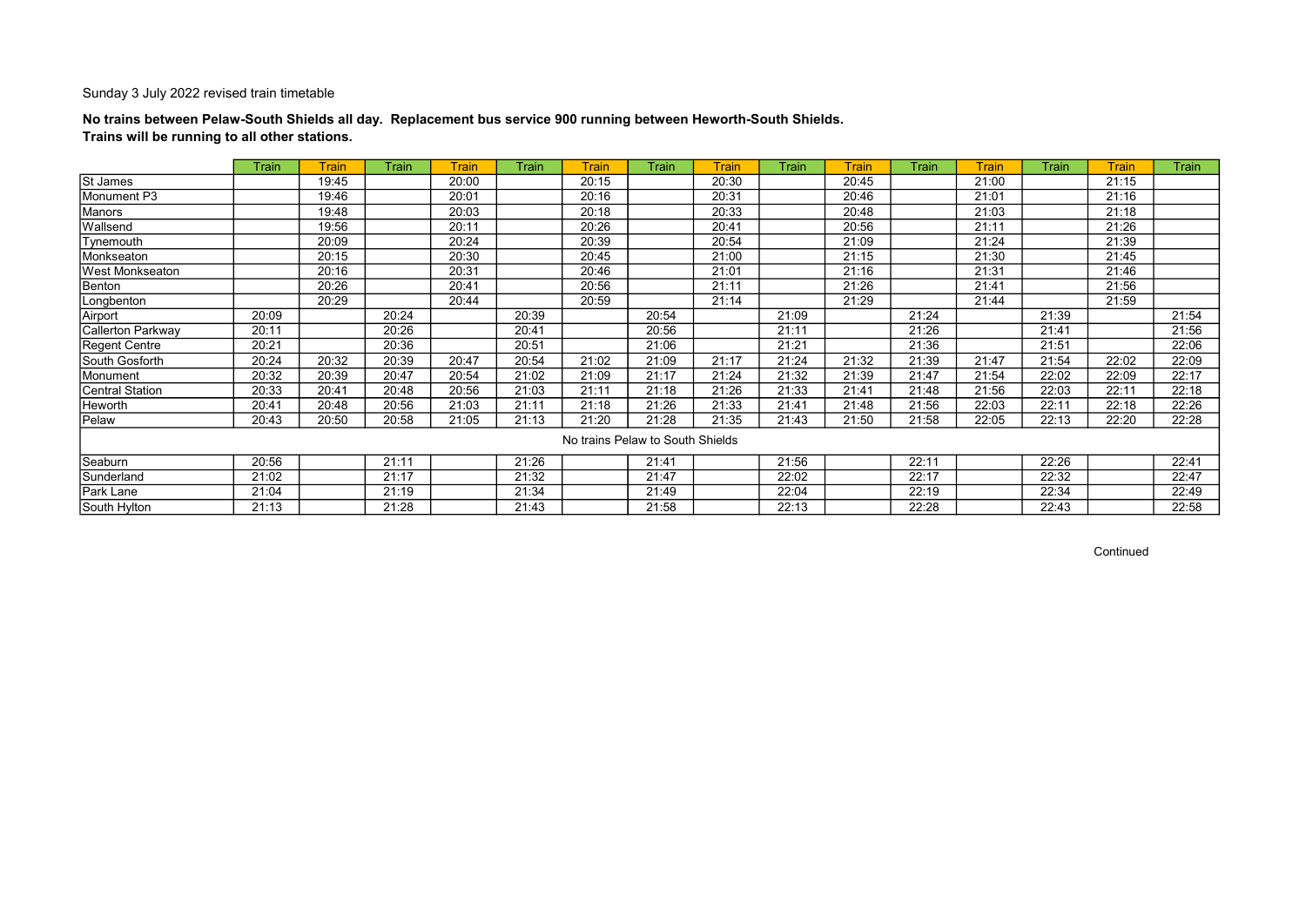## No trains between Pelaw-South Shields all day. Replacement bus service 900 running between Heworth-South Shields. Trains will be running to all other stations.

|                        | Train | Train | <b>Train</b> | <b>Train</b> | Train | <b>Train</b>                     | <b>Train</b> | Train | Train | <b>Train</b> | Train | <b>Train</b> | <b>Train</b> | <b>Train</b> | <b>Train</b> |
|------------------------|-------|-------|--------------|--------------|-------|----------------------------------|--------------|-------|-------|--------------|-------|--------------|--------------|--------------|--------------|
| St James               |       | 19:45 |              | 20:00        |       | 20:15                            |              | 20:30 |       | 20:45        |       | 21:00        |              | 21:15        |              |
| Monument P3            |       | 19:46 |              | 20:01        |       | 20:16                            |              | 20:31 |       | 20:46        |       | 21:01        |              | 21:16        |              |
| Manors                 |       | 19:48 |              | 20:03        |       | 20:18                            |              | 20:33 |       | 20:48        |       | 21:03        |              | 21:18        |              |
| Wallsend               |       | 19:56 |              | 20:11        |       | 20:26                            |              | 20:41 |       | 20:56        |       | 21:11        |              | 21:26        |              |
| Tynemouth              |       | 20:09 |              | 20:24        |       | 20:39                            |              | 20:54 |       | 21:09        |       | 21:24        |              | 21:39        |              |
| Monkseaton             |       | 20:15 |              | 20:30        |       | 20:45                            |              | 21:00 |       | 21:15        |       | 21:30        |              | 21:45        |              |
| West Monkseaton        |       | 20:16 |              | 20:31        |       | 20:46                            |              | 21:01 |       | 21:16        |       | 21:31        |              | 21:46        |              |
| Benton                 |       | 20:26 |              | 20:41        |       | 20:56                            |              | 21:11 |       | 21:26        |       | 21:41        |              | 21:56        |              |
| Longbenton             |       | 20:29 |              | 20:44        |       | 20:59                            |              | 21:14 |       | 21:29        |       | 21:44        |              | 21:59        |              |
| Airport                | 20:09 |       | 20:24        |              | 20:39 |                                  | 20:54        |       | 21:09 |              | 21:24 |              | 21:39        |              | 21:54        |
| Callerton Parkway      | 20:11 |       | 20:26        |              | 20:41 |                                  | 20:56        |       | 21:11 |              | 21:26 |              | 21:41        |              | 21:56        |
| Regent Centre          | 20:21 |       | 20:36        |              | 20:51 |                                  | 21:06        |       | 21:21 |              | 21:36 |              | 21:51        |              | 22:06        |
| South Gosforth         | 20:24 | 20:32 | 20:39        | 20:47        | 20:54 | 21:02                            | 21:09        | 21:17 | 21:24 | 21:32        | 21:39 | 21:47        | 21:54        | 22:02        | 22:09        |
| Monument               | 20:32 | 20:39 | 20:47        | 20:54        | 21:02 | 21:09                            | 21:17        | 21:24 | 21:32 | 21:39        | 21:47 | 21:54        | 22:02        | 22:09        | 22:17        |
| <b>Central Station</b> | 20:33 | 20:41 | 20:48        | 20:56        | 21:03 | 21:11                            | 21:18        | 21:26 | 21:33 | 21:41        | 21:48 | 21:56        | 22:03        | 22:11        | 22:18        |
| Heworth                | 20:41 | 20:48 | 20:56        | 21:03        | 21:11 | 21:18                            | 21:26        | 21:33 | 21:41 | 21:48        | 21:56 | 22:03        | 22:11        | 22:18        | 22:26        |
| Pelaw                  | 20:43 | 20:50 | 20:58        | 21:05        | 21:13 | 21:20                            | 21:28        | 21:35 | 21:43 | 21:50        | 21:58 | 22:05        | 22:13        | 22:20        | 22:28        |
|                        |       |       |              |              |       | No trains Pelaw to South Shields |              |       |       |              |       |              |              |              |              |
| Seaburn                | 20:56 |       | 21:11        |              | 21:26 |                                  | 21:41        |       | 21:56 |              | 22:11 |              | 22:26        |              | 22:41        |
| Sunderland             | 21:02 |       | 21:17        |              | 21:32 |                                  | 21:47        |       | 22:02 |              | 22:17 |              | 22:32        |              | 22:47        |
| Park Lane              | 21:04 |       | 21:19        |              | 21:34 |                                  | 21:49        |       | 22:04 |              | 22:19 |              | 22:34        |              | 22:49        |
| South Hylton           | 21:13 |       | 21:28        |              | 21:43 |                                  | 21:58        |       | 22:13 |              | 22:28 |              | 22:43        |              | 22:58        |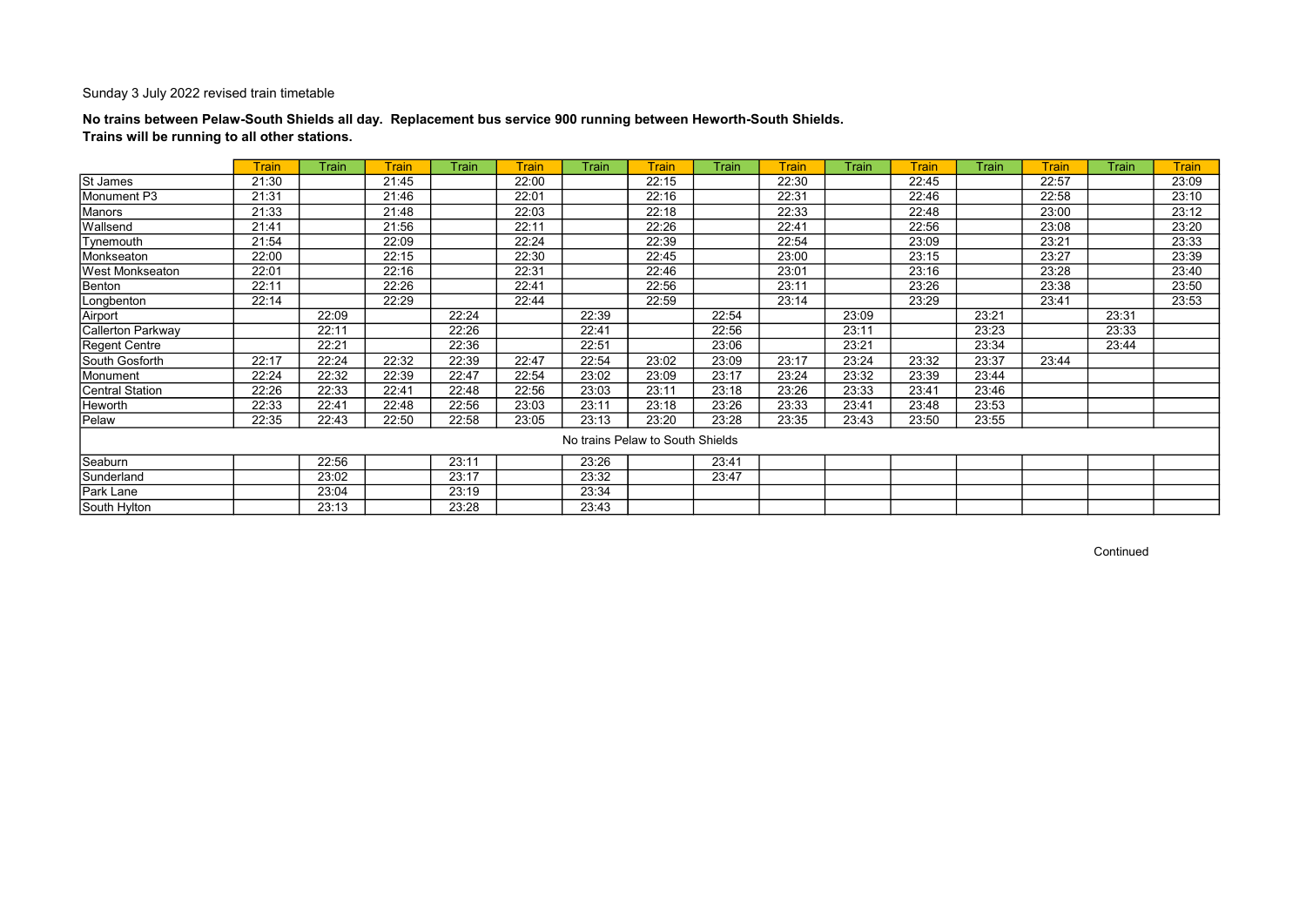## No trains between Pelaw-South Shields all day. Replacement bus service 900 running between Heworth-South Shields. Trains will be running to all other stations.

|                        | Train | Train | <b>Train</b> | <b>Train</b> | <b>Train</b> | Train                            | <b>Train</b> | Train | <b>Train</b> | Train | <b>Train</b> | <b>Train</b> | <b>Train</b> | Train | <b>Train</b> |
|------------------------|-------|-------|--------------|--------------|--------------|----------------------------------|--------------|-------|--------------|-------|--------------|--------------|--------------|-------|--------------|
| St James               | 21:30 |       | 21:45        |              | 22:00        |                                  | 22:15        |       | 22:30        |       | 22:45        |              | 22:57        |       | 23:09        |
| Monument P3            | 21:31 |       | 21:46        |              | 22:01        |                                  | 22:16        |       | 22:31        |       | 22:46        |              | 22:58        |       | 23:10        |
| Manors                 | 21:33 |       | 21:48        |              | 22:03        |                                  | 22:18        |       | 22:33        |       | 22:48        |              | 23:00        |       | 23:12        |
| Wallsend               | 21:41 |       | 21:56        |              | 22:11        |                                  | 22:26        |       | 22:41        |       | 22:56        |              | 23:08        |       | 23:20        |
| Tynemouth              | 21:54 |       | 22:09        |              | 22:24        |                                  | 22:39        |       | 22:54        |       | 23:09        |              | 23:21        |       | 23:33        |
| Monkseaton             | 22:00 |       | 22:15        |              | 22:30        |                                  | 22:45        |       | 23:00        |       | 23:15        |              | 23:27        |       | 23:39        |
| West Monkseaton        | 22:01 |       | 22:16        |              | 22:31        |                                  | 22:46        |       | 23:01        |       | 23:16        |              | 23:28        |       | 23:40        |
| Benton                 | 22:11 |       | 22:26        |              | 22:41        |                                  | 22:56        |       | 23:11        |       | 23:26        |              | 23:38        |       | 23:50        |
| Longbenton             | 22:14 |       | 22:29        |              | 22:44        |                                  | 22:59        |       | 23:14        |       | 23:29        |              | 23:41        |       | 23:53        |
| Airport                |       | 22:09 |              | 22:24        |              | 22:39                            |              | 22:54 |              | 23:09 |              | 23:21        |              | 23:31 |              |
| Callerton Parkway      |       | 22:11 |              | 22:26        |              | 22:41                            |              | 22:56 |              | 23:11 |              | 23:23        |              | 23:33 |              |
| Regent Centre          |       | 22:21 |              | 22:36        |              | 22:51                            |              | 23:06 |              | 23:21 |              | 23:34        |              | 23:44 |              |
| South Gosforth         | 22:17 | 22:24 | 22:32        | 22:39        | 22:47        | 22:54                            | 23:02        | 23:09 | 23:17        | 23:24 | 23:32        | 23:37        | 23:44        |       |              |
| Monument               | 22:24 | 22:32 | 22:39        | 22:47        | 22:54        | 23:02                            | 23:09        | 23:17 | 23:24        | 23:32 | 23:39        | 23:44        |              |       |              |
| <b>Central Station</b> | 22:26 | 22:33 | 22:41        | 22:48        | 22:56        | 23:03                            | 23:11        | 23:18 | 23:26        | 23:33 | 23:41        | 23:46        |              |       |              |
| Heworth                | 22:33 | 22:41 | 22:48        | 22:56        | 23:03        | 23:11                            | 23:18        | 23:26 | 23:33        | 23:41 | 23:48        | 23:53        |              |       |              |
| Pelaw                  | 22:35 | 22:43 | 22:50        | 22:58        | 23:05        | 23:13                            | 23:20        | 23:28 | 23:35        | 23:43 | 23:50        | 23:55        |              |       |              |
|                        |       |       |              |              |              | No trains Pelaw to South Shields |              |       |              |       |              |              |              |       |              |
| Seaburn                |       | 22:56 |              | 23:11        |              | 23:26                            |              | 23:41 |              |       |              |              |              |       |              |
| Sunderland             |       | 23:02 |              | 23:17        |              | 23:32                            |              | 23:47 |              |       |              |              |              |       |              |
| Park Lane              |       | 23:04 |              | 23:19        |              | 23:34                            |              |       |              |       |              |              |              |       |              |
| South Hylton           |       | 23:13 |              | 23:28        |              | 23:43                            |              |       |              |       |              |              |              |       |              |